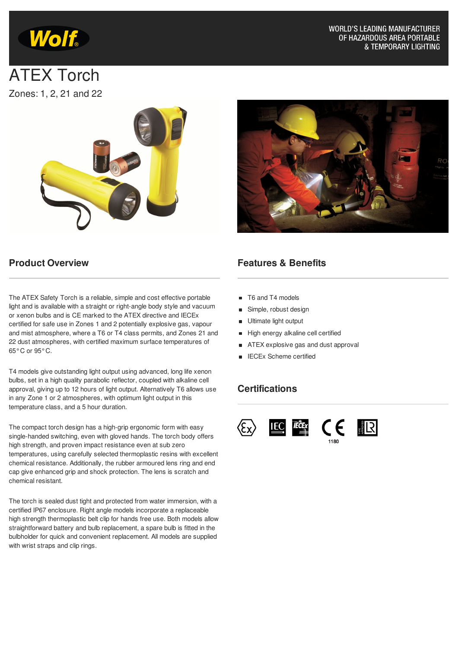

# **ATEX Torch** Zones: 1, 2, 21 and 22



### **Product Overview**

The ATEX Safety Torch is a reliable, simple and cost effective portable light and is available with a straight or right-angle body style and vacuum or xenon bulbs and is CE marked to the ATEX directive and IECEx certified for safe use in Zones 1 and 2 potentially explosive gas, vapour and mist atmosphere, where a T6 or T4 class permits, and Zones 21 and 22 dust atmospheres, with certified maximum surface temperatures of 65°C or 95°C.

T4 models give outstanding light output using advanced, long life xenon bulbs, set in a high quality parabolic reflector, coupled with alkaline cell approval, giving up to 12 hours of light output. Alternatively T6 allows use in any Zone 1 or 2 atmospheres, with optimum light output in this temperature class, and a 5 hour duration.

The compact torch design has a high-grip ergonomic form with easy single-handed switching, even with gloved hands. The torch body offers high strength, and proven impact resistance even at sub zero temperatures, using carefully selected thermoplastic resins with excellent chemical resistance. Additionally, the rubber armoured lens ring and end cap give enhanced grip and shock protection. The lens is scratch and chemical resistant.

The torch is sealed dust tight and protected from water immersion, with a certified IP67 enclosure. Right angle models incorporate a replaceable high strength thermoplastic belt clip for hands free use. Both models allow straightforward battery and bulb replacement, a spare bulb is fitted in the bulbholder for quick and convenient replacement. All models are supplied with wrist straps and clip rings.

### **Features & Benefits**

- T6 and T4 models
- Simple, robust design  $\blacksquare$
- Ultimate light output
- High energy alkaline cell certified  $\blacksquare$
- ATEX explosive gas and dust approval  $\blacksquare$
- **IECEx Scheme certified**

#### **Certifications**



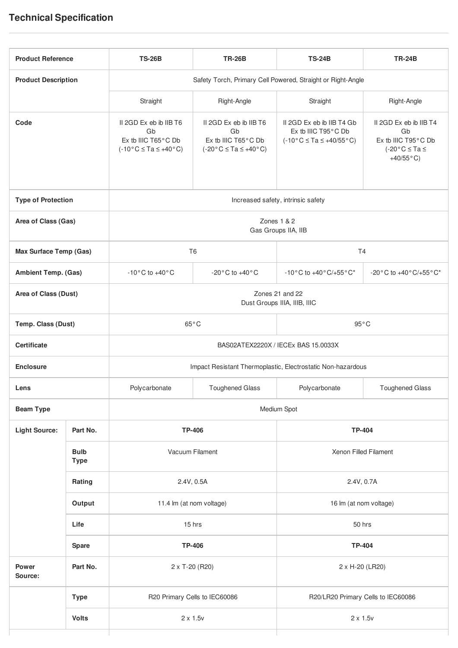| <b>Product Reference</b>                                                                                   |              | <b>TS-26B</b>                                                                                     | <b>TR-26B</b>                                                                       | <b>TS-24B</b>                                                                       | <b>TR-24B</b>                                                                                        |  |
|------------------------------------------------------------------------------------------------------------|--------------|---------------------------------------------------------------------------------------------------|-------------------------------------------------------------------------------------|-------------------------------------------------------------------------------------|------------------------------------------------------------------------------------------------------|--|
| <b>Product Description</b>                                                                                 |              | Safety Torch, Primary Cell Powered, Straight or Right-Angle                                       |                                                                                     |                                                                                     |                                                                                                      |  |
|                                                                                                            |              | Straight                                                                                          | Right-Angle                                                                         | Straight                                                                            | Right-Angle                                                                                          |  |
| Code                                                                                                       |              | II 2GD Ex eb ib IIB T6<br>Gb<br>Ex tb IIIC T65°C Db<br>$(-10\degree C \leq Ta \leq +40\degree C)$ | II 2GD Ex eb ib IIB T6<br>Gb<br>Ex tb IIIC T65°C Db<br>$(-20 °C \le Ta \le +40 °C)$ | II 2GD Ex eb ib IIB T4 Gb<br>Ex tb IIIC T95°C Db<br>$(-10 °C \le Ta \le +40/55 °C)$ | II 2GD Ex eb ib IIB T4<br>Gb<br>Ex tb IIIC T95°C Db<br>$(-20 °C \leq Ta \leq$<br>$+40/55^{\circ}$ C) |  |
| <b>Type of Protection</b>                                                                                  |              | Increased safety, intrinsic safety                                                                |                                                                                     |                                                                                     |                                                                                                      |  |
| Area of Class (Gas)                                                                                        |              | Zones 1 & 2<br>Gas Groups IIA, IIB                                                                |                                                                                     |                                                                                     |                                                                                                      |  |
| Max Surface Temp (Gas)                                                                                     |              | T <sub>6</sub>                                                                                    |                                                                                     | T4                                                                                  |                                                                                                      |  |
| <b>Ambient Temp. (Gas)</b>                                                                                 |              | $-10^{\circ}$ C to $+40^{\circ}$ C                                                                | -20 $^{\circ}$ C to +40 $^{\circ}$ C                                                | -10°C to +40°C/+55°C*                                                               | -20°C to +40°C/+55°C*                                                                                |  |
| Area of Class (Dust)                                                                                       |              | Zones 21 and 22<br>Dust Groups IIIA, IIIB, IIIC                                                   |                                                                                     |                                                                                     |                                                                                                      |  |
| Temp. Class (Dust)                                                                                         |              | $65^{\circ}$ C                                                                                    |                                                                                     | $95^{\circ}$ C                                                                      |                                                                                                      |  |
| <b>Certificate</b>                                                                                         |              | BAS02ATEX2220X / IECEx BAS 15.0033X                                                               |                                                                                     |                                                                                     |                                                                                                      |  |
| <b>Enclosure</b>                                                                                           |              | Impact Resistant Thermoplastic, Electrostatic Non-hazardous                                       |                                                                                     |                                                                                     |                                                                                                      |  |
| Lens                                                                                                       |              | Polycarbonate                                                                                     | <b>Toughened Glass</b>                                                              | Polycarbonate                                                                       | <b>Toughened Glass</b>                                                                               |  |
| <b>Beam Type</b>                                                                                           |              | Medium Spot                                                                                       |                                                                                     |                                                                                     |                                                                                                      |  |
| <b>Light Source:</b><br>Part No.<br><b>Bulb</b><br><b>Type</b><br>Rating<br>Output<br>Life<br><b>Spare</b> |              | <b>TP-406</b>                                                                                     |                                                                                     | TP-404                                                                              |                                                                                                      |  |
|                                                                                                            |              | Vacuum Filament                                                                                   |                                                                                     | Xenon Filled Filament                                                               |                                                                                                      |  |
|                                                                                                            |              | 2.4V, 0.5A                                                                                        |                                                                                     | 2.4V, 0.7A                                                                          |                                                                                                      |  |
|                                                                                                            |              | 11.4 lm (at nom voltage)                                                                          |                                                                                     | 16 lm (at nom voltage)                                                              |                                                                                                      |  |
|                                                                                                            |              | 15 hrs                                                                                            |                                                                                     | 50 hrs                                                                              |                                                                                                      |  |
|                                                                                                            |              | <b>TP-406</b>                                                                                     |                                                                                     | <b>TP-404</b>                                                                       |                                                                                                      |  |
| Power<br>Source:                                                                                           | Part No.     | 2 x T-20 (R20)                                                                                    |                                                                                     | 2 x H-20 (LR20)                                                                     |                                                                                                      |  |
|                                                                                                            | <b>Type</b>  | R20 Primary Cells to IEC60086                                                                     |                                                                                     | R20/LR20 Primary Cells to IEC60086                                                  |                                                                                                      |  |
|                                                                                                            | <b>Volts</b> | $2 \times 1.5v$                                                                                   |                                                                                     | $2 \times 1.5v$                                                                     |                                                                                                      |  |
|                                                                                                            |              |                                                                                                   |                                                                                     |                                                                                     |                                                                                                      |  |